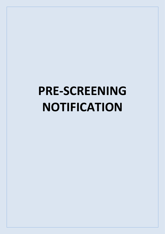## **PRE-SCREENING NOTIFICATION**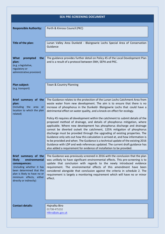| <b>SEA PRE-SCREENING DOCUMENT</b>                                                                                                                                                                               |                                                                                                                                                                                                                                                                                                                                                                                                                                                                                                                                                                                                                                                                                                                                                                                                                                                                                                                                                                                                                                                          |  |
|-----------------------------------------------------------------------------------------------------------------------------------------------------------------------------------------------------------------|----------------------------------------------------------------------------------------------------------------------------------------------------------------------------------------------------------------------------------------------------------------------------------------------------------------------------------------------------------------------------------------------------------------------------------------------------------------------------------------------------------------------------------------------------------------------------------------------------------------------------------------------------------------------------------------------------------------------------------------------------------------------------------------------------------------------------------------------------------------------------------------------------------------------------------------------------------------------------------------------------------------------------------------------------------|--|
| <b>Responsible Authority:</b>                                                                                                                                                                                   | Perth & Kinross Council (PKC)                                                                                                                                                                                                                                                                                                                                                                                                                                                                                                                                                                                                                                                                                                                                                                                                                                                                                                                                                                                                                            |  |
| Title of the plan:                                                                                                                                                                                              | Lunan Valley Area Dunkeld - Blairgowrie Lochs Special Area of Conservation<br>Guidance                                                                                                                                                                                                                                                                                                                                                                                                                                                                                                                                                                                                                                                                                                                                                                                                                                                                                                                                                                   |  |
| <b>What</b><br>prompted<br>the<br>plan:<br>(e.g. a legislative,<br>regulatory or<br>administrative provision)                                                                                                   | The guidance provides further detail on Policy 45 of the Local Development Plan<br>and is a result of a protocol between SNH, SEPA and PKC.                                                                                                                                                                                                                                                                                                                                                                                                                                                                                                                                                                                                                                                                                                                                                                                                                                                                                                              |  |
| Plan subject:<br>(e.g. transport)                                                                                                                                                                               | Town & Country Planning                                                                                                                                                                                                                                                                                                                                                                                                                                                                                                                                                                                                                                                                                                                                                                                                                                                                                                                                                                                                                                  |  |
| Brief summary of the<br>plan:<br>(including<br>the area or<br>location to which the plan<br>related)                                                                                                            | The Guidance relates to the protection of the Lunan Lochs Catchment Area from<br>waste water from new development. The aim is to ensure that there is no<br>increase of phosphorus in the Dunkeld- Blairgowrie Lochs that could have a<br>detrimental effect on water quality, and a knock-on effect for ecology.<br>Policy 45 requires all development within the catchment to submit details of the<br>proposed method of drainage, and details of phosphorus mitigation, where<br>applicable. Where new development has phosphorus discharge and drainage<br>cannot be diverted outwit the catchment, 125% mitigation of phosphorus<br>discharge must be provided through the upgrading of existing properties. The<br>Guidance only sets out how this calculation is arrived at, and how information is<br>to be provided and when. The Guidance is a technical update of the existing 2016<br>Guidance with LDP and web references updated. The current draft guidance has<br>also added a requirement for evidence of installation to be provided. |  |
| Brief summary of the<br>environmental<br>likely<br>consequences:<br>(including whether it has<br>been determined that the<br>plan is likely to have no or<br>minimum effects, either<br>directly or indirectly) | The Guidance was previously screened in 2016 with the conclusion that the plan<br>was unlikely to have significant environmental effects. This pre-screening is to<br>update that conclusion with regards to the newly introduced evidence<br>requirement. The environmental effects of this amendment have been<br>considered alongside that conclusion against the criteria in schedule 2. The<br>requirement is largely a monitoring requirement which will have no or minor<br>effect.                                                                                                                                                                                                                                                                                                                                                                                                                                                                                                                                                               |  |
| <b>Contact details:</b>                                                                                                                                                                                         | Hajnalka Biro<br>01738 475232<br>HBiro@pkc.gov.uk                                                                                                                                                                                                                                                                                                                                                                                                                                                                                                                                                                                                                                                                                                                                                                                                                                                                                                                                                                                                        |  |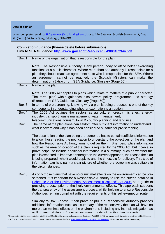**Date of opinion:**

When completed send to: [SEA.gateway@scotland.gsi.gov.uk](mailto:SEA.gateway@scotland.gsi.gov.uk) or to SEA Gateway, Scottish Government, Area 2H (South), Victoria Quay, Edinburgh, EH6 6QQ

## **Completion guidance (Please delete before submission) Link to SEA Guidance:<http://www.gov.scot/Resource/0043/00432344.pdf>**

| Box 1 | Name of the organisation that is responsible for the plan.                                                                                                                                                                                                                                                                                                                                                                                                                                                                                                                                                                                                                                                                                                                                                                                                                                                    |
|-------|---------------------------------------------------------------------------------------------------------------------------------------------------------------------------------------------------------------------------------------------------------------------------------------------------------------------------------------------------------------------------------------------------------------------------------------------------------------------------------------------------------------------------------------------------------------------------------------------------------------------------------------------------------------------------------------------------------------------------------------------------------------------------------------------------------------------------------------------------------------------------------------------------------------|
|       | <b>Note:</b> The Responsible Authority is any person, body or office holder exercising<br>functions of a public character. Where more than one authority is responsible for a<br>plan they should reach an agreement as to who is responsible for the SEA. Where<br>an agreement cannot be reached, the Scottish Ministers can make the<br>determination (Extract from SEA Guidance: Glossary (Page 50)).                                                                                                                                                                                                                                                                                                                                                                                                                                                                                                     |
| Box 2 | Name of the plan.                                                                                                                                                                                                                                                                                                                                                                                                                                                                                                                                                                                                                                                                                                                                                                                                                                                                                             |
|       | Note: The 2005 Act applies to plans which relate to matters of a public character.<br>The term 'plan' within guidance also covers policy, programme and strategy<br>(Extract from SEA Guidance: Glossary (Page 50)).                                                                                                                                                                                                                                                                                                                                                                                                                                                                                                                                                                                                                                                                                          |
| Box 3 | In terms of pre-screening, knowing why a plan is being produced is one of the key<br>components in understanding whether exemption is an option.                                                                                                                                                                                                                                                                                                                                                                                                                                                                                                                                                                                                                                                                                                                                                              |
| Box 4 | The 2005 Act outlines the sectors as agriculture, forestry, fisheries, energy,<br>industry, transport, waste management, water management,<br>telecommunications, tourism, town & country planning and land use.                                                                                                                                                                                                                                                                                                                                                                                                                                                                                                                                                                                                                                                                                              |
| Box 5 | The name of the plan alone can seldom offer sufficient information to understand<br>what it covers and why it has been considered suitable for pre-screening.<br>The description of the plan being pre-screened has to contain sufficient information<br>to allow those reading the notification to understand the objectives of the plan and<br>how the Responsible Authority aims to deliver them. Brief descriptive information<br>such as the area or location of the plan is required by the 2005 Act, but it can also<br>prove helpful to include additional information in a summary, such as whether the<br>plan is expected to improve or strengthen the current approach, the reason the plan<br>is being prepared, who it would apply to and the timescale for delivery. This type of<br>information can help paint a clear picture of whether pre-screening was suitable in<br>the circumstances. |
| Box 6 | As only those plans that have no or minimal effects on the environment can be pre-<br>screened, it is important for a Responsible Authority to use the criteria detailed in<br>Schedule 2 of the Environmental Assessment (Scotland) Act 2005 as a guide to<br>providing a description of the likely environmental effects. This approach supports<br>the transparency of the assessment process, whilst helping to ensure Responsible<br>Authorities remain compliant with the requirements of this self-exemption route.<br>Similarly to Box 5 above, it can prove helpful if a Responsible Authority provides<br>additional information, such as a summary of the reasons why the plan will have no<br>more than minimal effects on the environment, including any intrinsic mitigation, as<br>wall as any evisting or future assessment needs within the plan hierarchy                                   |

<sup>1</sup> Please note: (A) The plan has to fall into Section 5(4) of the Environmental Assessment (Scotland) Act 2005 & (B) you should apply the criteria specified within Schedule 2 of this Act to reach a conclusion on no or minimal environmental effects[: www.legislation.gov.uk/asp/2005/15/contents](http://www.legislation.gov.uk/asp/2005/15/contents) *(delete this note before submission)*